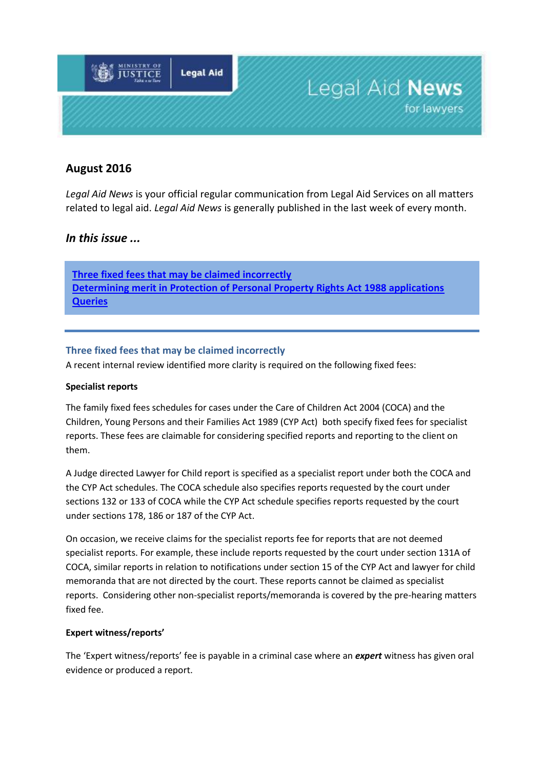

# **August 2016**

*Legal Aid News* is your official regular communication from Legal Aid Services on all matters related to legal aid. *Legal Aid News* is generally published in the last week of every month.

# *In this issue ...*

**[Three fixed fees that may be claimed incorrectly](#page-0-0) [Determining merit in Protection of Personal Property Rights Act 1988 applications](#page-1-0) Queries**

### <span id="page-0-0"></span>**Three fixed fees that may be claimed incorrectly**

A recent internal review identified more clarity is required on the following fixed fees:

#### **Specialist reports**

The family fixed fees schedules for cases under the Care of Children Act 2004 (COCA) and the Children, Young Persons and their Families Act 1989 (CYP Act) both specify fixed fees for specialist reports. These fees are claimable for considering specified reports and reporting to the client on them.

A Judge directed Lawyer for Child report is specified as a specialist report under both the COCA and the CYP Act schedules. The COCA schedule also specifies reports requested by the court under sections 132 or 133 of COCA while the CYP Act schedule specifies reports requested by the court under sections 178, 186 or 187 of the CYP Act.

On occasion, we receive claims for the specialist reports fee for reports that are not deemed specialist reports. For example, these include reports requested by the court under section 131A of COCA, similar reports in relation to notifications under section 15 of the CYP Act and lawyer for child memoranda that are not directed by the court. These reports cannot be claimed as specialist reports. Considering other non-specialist reports/memoranda is covered by the pre-hearing matters fixed fee.

#### **Expert witness/reports'**

The 'Expert witness/reports' fee is payable in a criminal case where an *expert* witness has given oral evidence or produced a report.